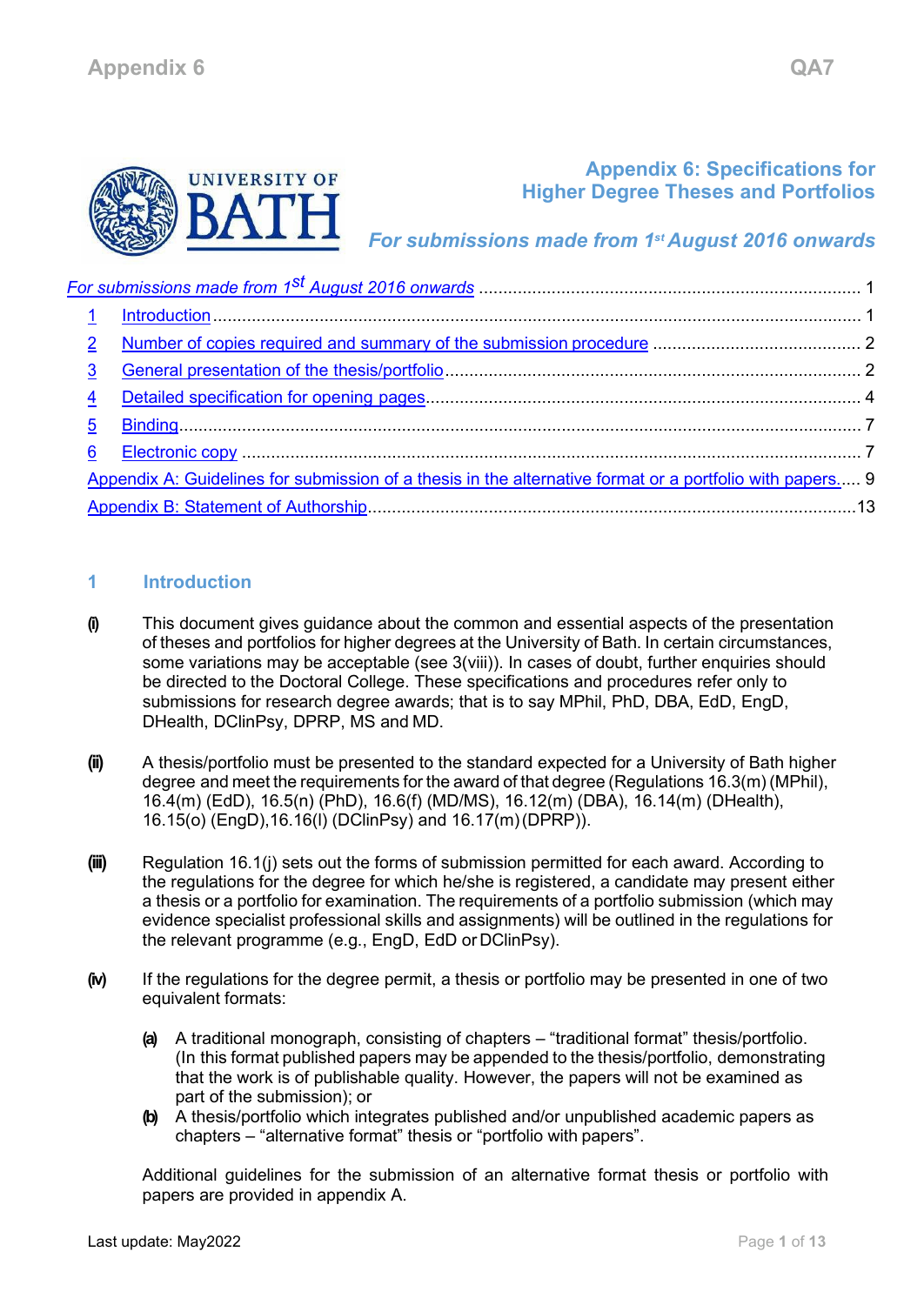

# **Appendix 6: Specifications for Higher Degree Theses and Portfolios**

*For submissions made from 1st August 2016 onwards*

<span id="page-0-0"></span>

| $\overline{2}$          |                                                                                                          |  |
|-------------------------|----------------------------------------------------------------------------------------------------------|--|
| 3                       |                                                                                                          |  |
| $\overline{\mathbf{4}}$ |                                                                                                          |  |
| $\overline{5}$          |                                                                                                          |  |
| $6\phantom{1}$          |                                                                                                          |  |
|                         | Appendix A: Guidelines for submission of a thesis in the alternative format or a portfolio with papers 9 |  |
|                         |                                                                                                          |  |

# <span id="page-0-1"></span>**1 Introduction**

- **(i)** This document gives guidance about the common and essential aspects of the presentation of theses and portfolios for higher degrees at the University of Bath. In certain circumstances, some variations may be acceptable (see 3(viii)). In cases of doubt, further enquiries should be directed to the Doctoral College. These specifications and procedures refer only to submissions for research degree awards; that is to say MPhil, PhD, DBA, EdD, EngD, DHealth, DClinPsy, DPRP, MS and MD.
- **(ii)** A thesis/portfolio must be presented to the standard expected for a University of Bath higher degree and meet the requirements for the award of that degree (Regulations 16.3(m) (MPhil), 16.4(m) (EdD), 16.5(n) (PhD), 16.6(f) (MD/MS), 16.12(m) (DBA), 16.14(m) (DHealth), 16.15(o) (EngD),16.16(l) (DClinPsy) and 16.17(m)(DPRP)).
- **(iii)** Regulation 16.1(j) sets out the forms of submission permitted for each award. According to the regulations for the degree for which he/she is registered, a candidate may present either a thesis or a portfolio for examination. The requirements of a portfolio submission (which may evidence specialist professional skills and assignments) will be outlined in the regulations for the relevant programme (e.g., EngD, EdD or DClinPsy).
- **(iv)** If the regulations for the degree permit, a thesis or portfolio may be presented in one of two equivalent formats:
	- **(a)** A traditional monograph, consisting of chapters "traditional format" thesis/portfolio. (In this format published papers may be appended to the thesis/portfolio, demonstrating that the work is of publishable quality. However, the papers will not be examined as part of the submission); or
	- **(b)** A thesis/portfolio which integrates published and/or unpublished academic papers as chapters – "alternative format" thesis or "portfolio with papers".

Additional guidelines for the submission of an alternative format thesis or portfolio with papers are provided in appendix A.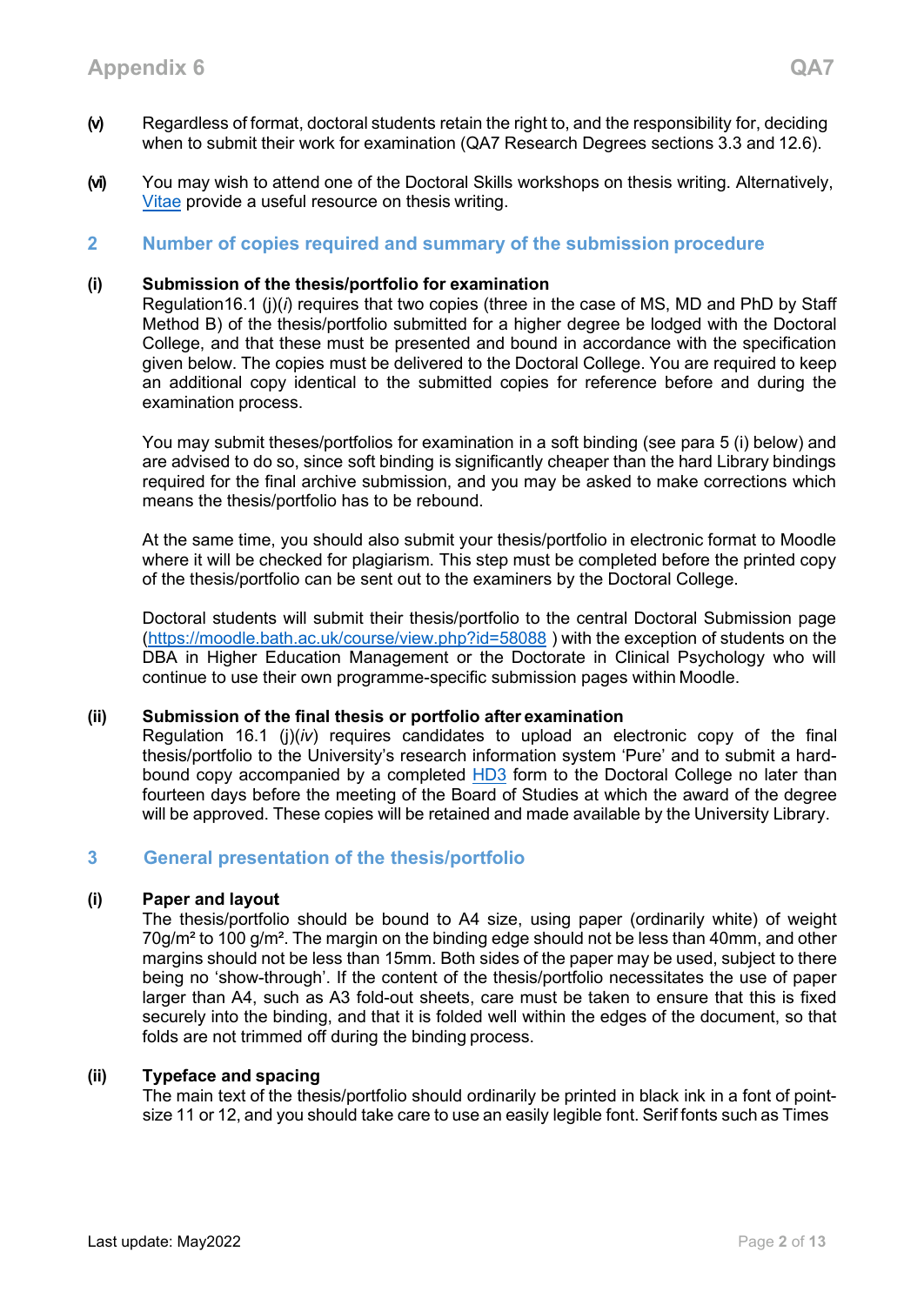**(vi)** You may wish to attend one of the Doctoral Skills workshops on thesis writing. Alternatively[,](https://www.vitae.ac.uk/doing-research/doing-a-doctorate/completing-your-doctorate/writing-and-submitting-your-doctoral-thesis) [Vitae](https://www.vitae.ac.uk/doing-research/doing-a-doctorate/completing-your-doctorate/writing-and-submitting-your-doctoral-thesis) provide a useful resource on thesis writing.

# <span id="page-1-0"></span>**2 Number of copies required and summary of the submission procedure**

#### **(i) Submission of the thesis/portfolio for examination**

Regulation16.1 (j)(*i*) requires that two copies (three in the case of MS, MD and PhD by Staff Method B) of the thesis/portfolio submitted for a higher degree be lodged with the Doctoral College, and that these must be presented and bound in accordance with the specification given below. The copies must be delivered to the Doctoral College. You are required to keep an additional copy identical to the submitted copies for reference before and during the examination process.

You may submit theses/portfolios for examination in a soft binding (see para 5 (i) below) and are advised to do so, since soft binding is significantly cheaper than the hard Library bindings required for the final archive submission, and you may be asked to make corrections which means the thesis/portfolio has to be rebound.

At the same time, you should also submit your thesis/portfolio in electronic format to Moodle where it will be checked for plagiarism. This step must be completed before the printed copy of the thesis/portfolio can be sent out to the examiners by the Doctoral College.

Doctoral students will submit their thesis/portfolio to the central Doctoral Submission page [\(https://moodle.bath.ac.uk/course/view.php?id=58088](https://moodle.bath.ac.uk/course/view.php?id=58088) ) with the exception of students on the DBA in Higher Education Management or the Doctorate in Clinical Psychology who will continue to use their own programme-specific submission pages within Moodle.

#### **(ii) Submission of the final thesis or portfolio after examination**

Regulation 16.1 (j)(*iv*) requires candidates to upload an electronic copy of the final thesis/portfolio to the University's research information system 'Pure' and to submit a hardbound copy accompanied by a completed **HD3** form to the Doctoral College no later than fourteen days before the meeting of the Board of Studies at which the award of the degree will be approved. These copies will be retained and made available by the University Library.

# <span id="page-1-1"></span>**3 General presentation of the thesis/portfolio**

#### **(i) Paper and layout**

The thesis/portfolio should be bound to A4 size, using paper (ordinarily white) of weight  $70$ g/m<sup>2</sup> to 100 g/m<sup>2</sup>. The margin on the binding edge should not be less than 40mm, and other margins should not be less than 15mm. Both sides of the paper may be used, subject to there being no 'show-through'. If the content of the thesis/portfolio necessitates the use of paper larger than A4, such as A3 fold-out sheets, care must be taken to ensure that this is fixed securely into the binding, and that it is folded well within the edges of the document, so that folds are not trimmed off during the binding process.

#### **(ii) Typeface and spacing**

The main text of the thesis/portfolio should ordinarily be printed in black ink in a font of pointsize 11 or 12, and you should take care to use an easily legible font. Serif fonts such as Times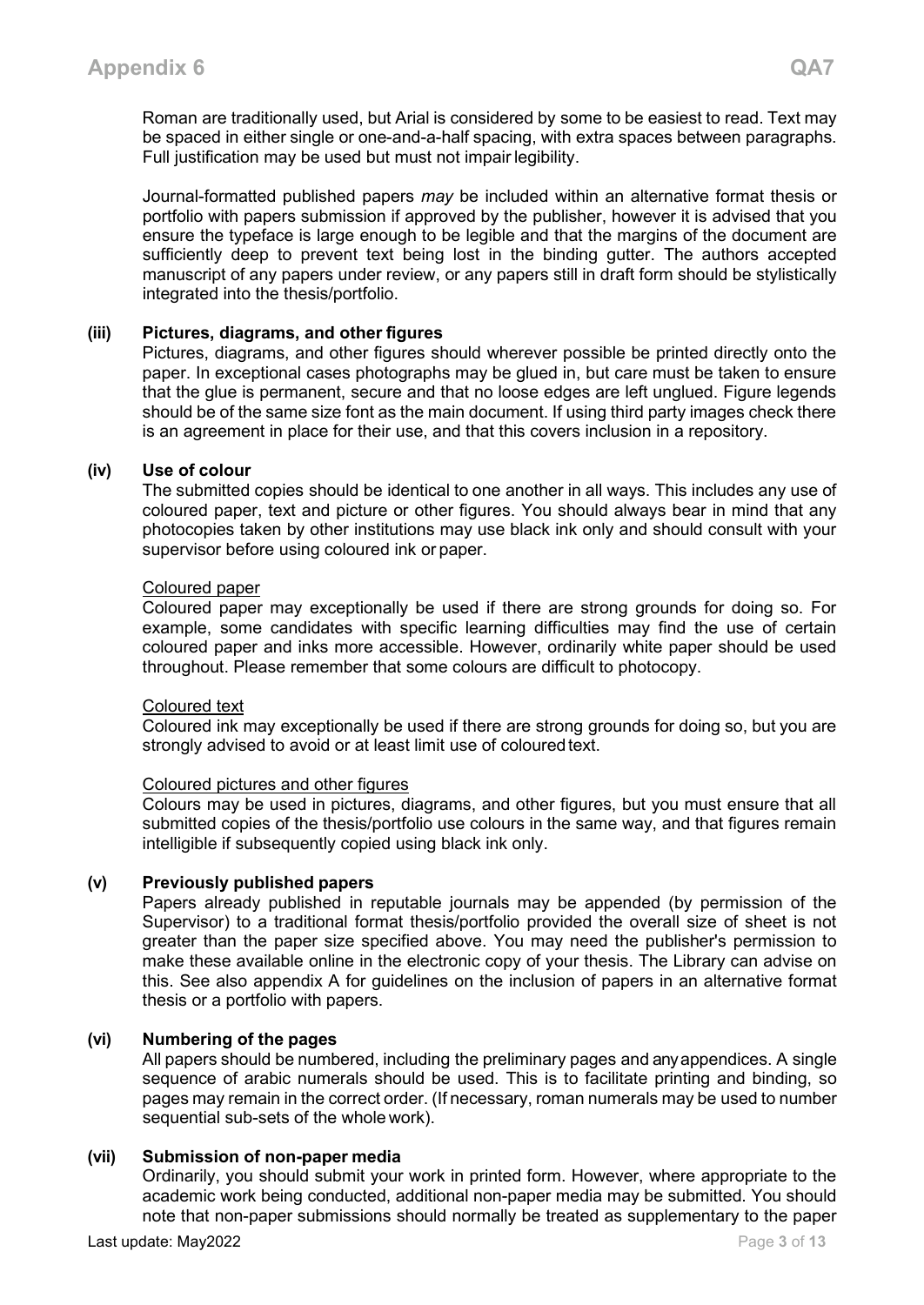Journal-formatted published papers *may* be included within an alternative format thesis or portfolio with papers submission if approved by the publisher, however it is advised that you ensure the typeface is large enough to be legible and that the margins of the document are sufficiently deep to prevent text being lost in the binding gutter. The authors accepted manuscript of any papers under review, or any papers still in draft form should be stylistically integrated into the thesis/portfolio.

# **(iii) Pictures, diagrams, and other figures**

Pictures, diagrams, and other figures should wherever possible be printed directly onto the paper. In exceptional cases photographs may be glued in, but care must be taken to ensure that the glue is permanent, secure and that no loose edges are left unglued. Figure legends should be of the same size font as the main document. If using third party images check there is an agreement in place for their use, and that this covers inclusion in a repository.

#### **(iv) Use of colour**

The submitted copies should be identical to one another in all ways. This includes any use of coloured paper, text and picture or other figures. You should always bear in mind that any photocopies taken by other institutions may use black ink only and should consult with your supervisor before using coloured ink or paper.

#### Coloured paper

Coloured paper may exceptionally be used if there are strong grounds for doing so. For example, some candidates with specific learning difficulties may find the use of certain coloured paper and inks more accessible. However, ordinarily white paper should be used throughout. Please remember that some colours are difficult to photocopy.

#### Coloured text

Coloured ink may exceptionally be used if there are strong grounds for doing so, but you are strongly advised to avoid or at least limit use of coloured text.

#### Coloured pictures and other figures

Colours may be used in pictures, diagrams, and other figures, but you must ensure that all submitted copies of the thesis/portfolio use colours in the same way, and that figures remain intelligible if subsequently copied using black ink only.

#### **(v) Previously published papers**

Papers already published in reputable journals may be appended (by permission of the Supervisor) to a traditional format thesis/portfolio provided the overall size of sheet is not greater than the paper size specified above. You may need the publisher's permission to make these available online in the electronic copy of your thesis. The Library can advise on this. See also appendix A for guidelines on the inclusion of papers in an alternative format thesis or a portfolio with papers.

#### **(vi) Numbering of the pages**

All papers should be numbered, including the preliminary pages and anyappendices. A single sequence of arabic numerals should be used. This is to facilitate printing and binding, so pages may remain in the correct order. (If necessary, roman numerals may be used to number sequential sub-sets of the whole work).

#### **(vii) Submission of non-paper media**

Ordinarily, you should submit your work in printed form. However, where appropriate to the academic work being conducted, additional non-paper media may be submitted. You should note that non-paper submissions should normally be treated as supplementary to the paper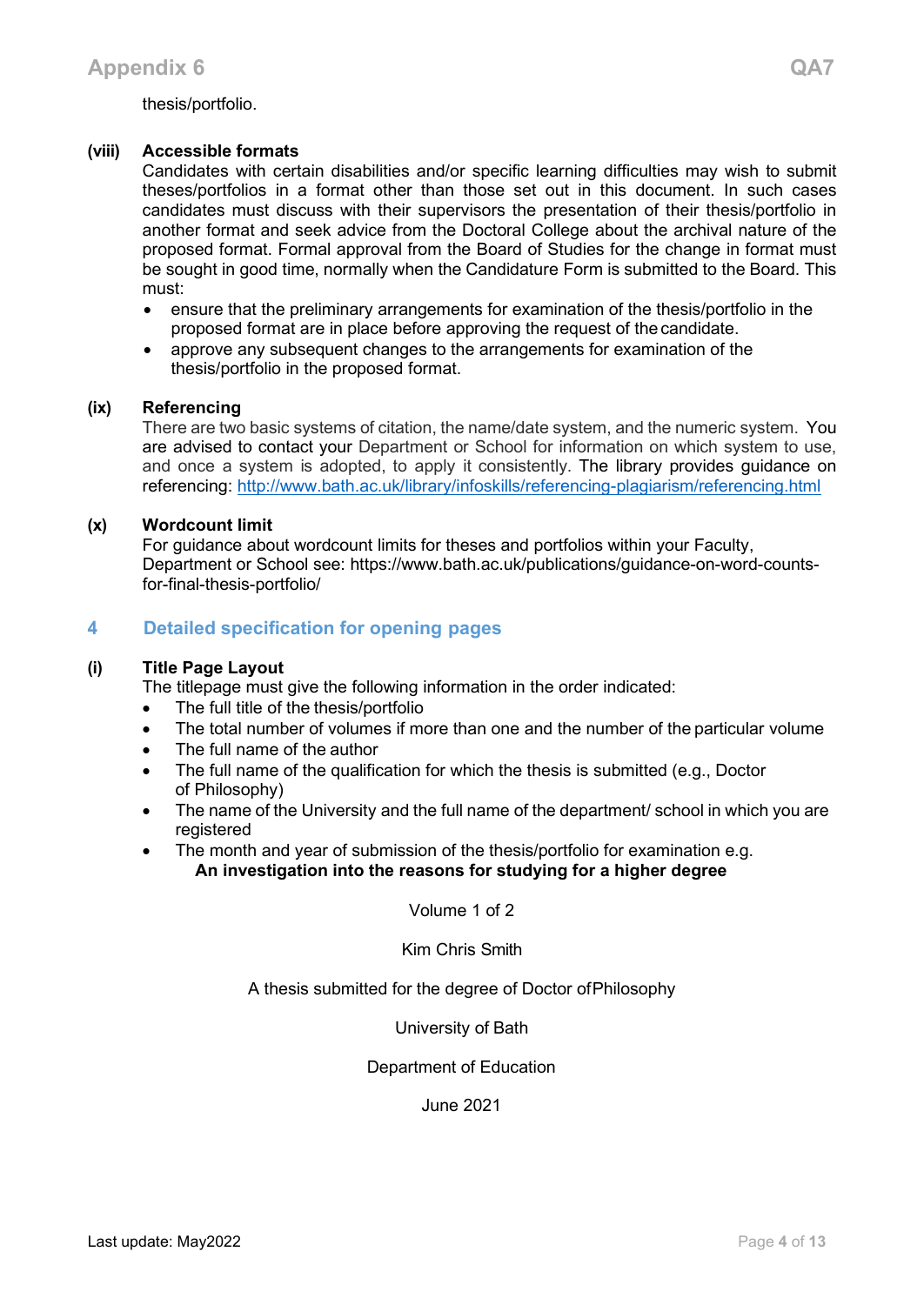#### **(viii) Accessible formats**

Candidates with certain disabilities and/or specific learning difficulties may wish to submit theses/portfolios in a format other than those set out in this document. In such cases candidates must discuss with their supervisors the presentation of their thesis/portfolio in another format and seek advice from the Doctoral College about the archival nature of the proposed format. Formal approval from the Board of Studies for the change in format must be sought in good time, normally when the Candidature Form is submitted to the Board. This must:

- ensure that the preliminary arrangements for examination of the thesis/portfolio in the proposed format are in place before approving the request of thecandidate.
- approve any subsequent changes to the arrangements for examination of the thesis/portfolio in the proposed format.

#### **(ix) Referencing**

There are two basic systems of citation, the name/date system, and the numeric system. You are advised to contact your Department or School for information on which system to use, and once a system is adopted, to apply it consistently. The library provides guidance on referencing:<http://www.bath.ac.uk/library/infoskills/referencing-plagiarism/referencing.html>

#### **(x) Wordcount limit**

For guidance about wordcount limits for theses and portfolios within your Faculty, Department or School see: https://www.bath.ac.uk/publications/guidance-on-word-countsfor-final-thesis-portfolio/

# <span id="page-3-0"></span>**4 Detailed specification for opening pages**

#### **(i) Title Page Layout**

The titlepage must give the following information in the order indicated:

- The full title of the thesis/portfolio
- The total number of volumes if more than one and the number of the particular volume
- The full name of the author
- The full name of the qualification for which the thesis is submitted (e.g., Doctor of Philosophy)
- The name of the University and the full name of the department/ school in which you are registered
- The month and year of submission of the thesis/portfolio for examination e.g. **An investigation into the reasons for studying for a higher degree**

Volume 1 of 2

Kim Chris Smith

A thesis submitted for the degree of Doctor ofPhilosophy

University of Bath

Department of Education

June 2021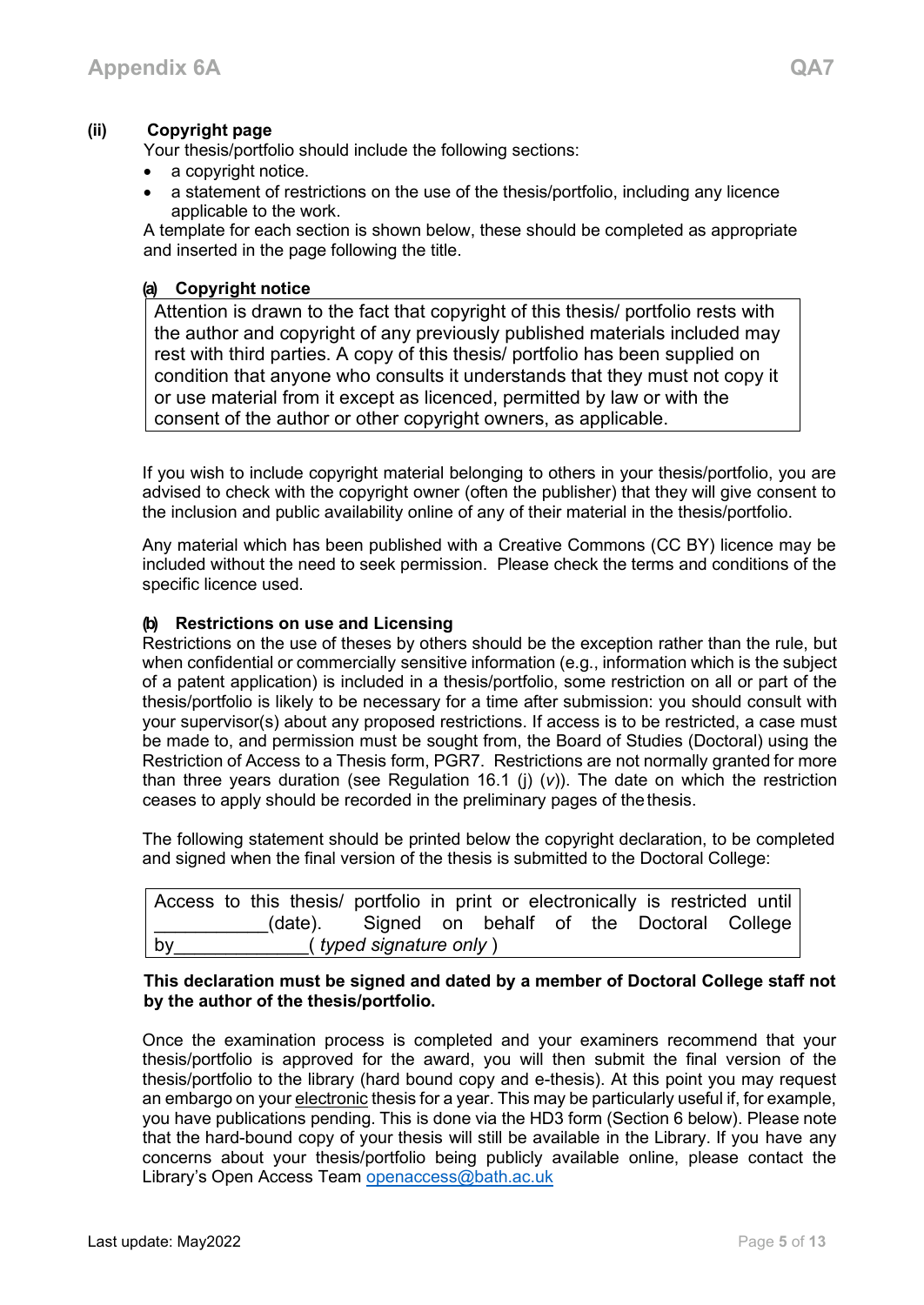# **(ii) Copyright page**

Your thesis/portfolio should include the following sections:

- a copyright notice.
- a statement of restrictions on the use of the thesis/portfolio, including any licence applicable to the work.

A template for each section is shown below, these should be completed as appropriate and inserted in the page following the title.

#### **(a) Copyright notice**

Attention is drawn to the fact that copyright of this thesis/ portfolio rests with the author and copyright of any previously published materials included may rest with third parties. A copy of this thesis/ portfolio has been supplied on condition that anyone who consults it understands that they must not copy it or use material from it except as licenced, permitted by law or with the consent of the author or other copyright owners, as applicable.

If you wish to include copyright material belonging to others in your thesis/portfolio, you are advised to check with the copyright owner (often the publisher) that they will give consent to the inclusion and public availability online of any of their material in the thesis/portfolio.

Any material which has been published with a Creative Commons (CC BY) licence may be included without the need to seek permission. Please check the terms and conditions of the specific licence used.

#### **(b) Restrictions on use and Licensing**

Restrictions on the use of theses by others should be the exception rather than the rule, but when confidential or commercially sensitive information (e.g., information which is the subject of a patent application) is included in a thesis/portfolio, some restriction on all or part of the thesis/portfolio is likely to be necessary for a time after submission: you should consult with your supervisor(s) about any proposed restrictions. If access is to be restricted, a case must be made to, and permission must be sought from, the Board of Studies (Doctoral) using the Restriction of Access to a Thesis form, PGR7. Restrictions are not normally granted for more than three years duration (see Regulation 16.1 (j) (*v*)). The date on which the restriction ceases to apply should be recorded in the preliminary pages of thethesis.

The following statement should be printed below the copyright declaration, to be completed and signed when the final version of the thesis is submitted to the Doctoral College:

|                                       |  |  |  | Access to this thesis/ portfolio in print or electronically is restricted until |  |  |  |  |  |  |  |  |
|---------------------------------------|--|--|--|---------------------------------------------------------------------------------|--|--|--|--|--|--|--|--|
|                                       |  |  |  | (date). Signed on behalf of the Doctoral College                                |  |  |  |  |  |  |  |  |
| by<br>( <i>typed signature only</i> ) |  |  |  |                                                                                 |  |  |  |  |  |  |  |  |

#### **This declaration must be signed and dated by a member of Doctoral College staff not by the author of the thesis/portfolio.**

Once the examination process is completed and your examiners recommend that your thesis/portfolio is approved for the award, you will then submit the final version of the thesis/portfolio to the library (hard bound copy and e-thesis). At this point you may request an embargo on your electronic thesis for a year. This may be particularly useful if, for example, you have publications pending. This is done via the HD3 form (Section 6 below). Please note that the hard-bound copy of your thesis will still be available in the Library. If you have any concerns about your thesis/portfolio being publicly available online, please contact the Library's Open Access Team [openaccess@bath.ac.uk](mailto:openaccess@bath.ac.uk)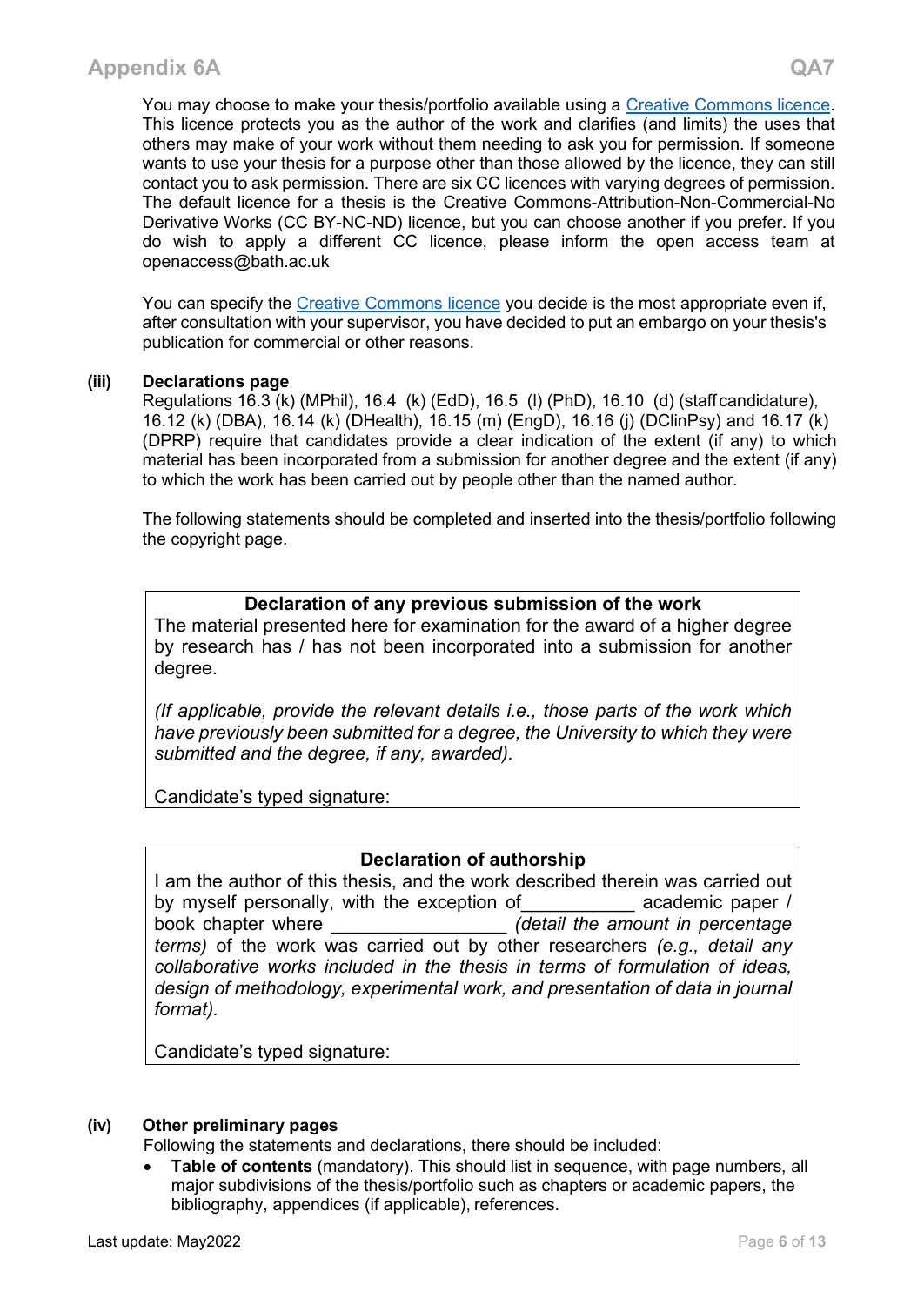You may choose to make your thesis/portfolio available using a [Creative Commons licence.](https://library.leeds.ac.uk/info/372/licences/117/creative_commons) This licence protects you as the author of the work and clarifies (and limits) the uses that others may make of your work without them needing to ask you for permission. If someone wants to use your thesis for a purpose other than those allowed by the licence, they can still contact you to ask permission. There are six CC licences with varying degrees of permission. The default licence for a thesis is the Creative Commons-Attribution-Non-Commercial-No Derivative Works (CC BY-NC-ND) licence, but you can choose another if you prefer. If you do wish to apply a different CC licence, please inform the open access team at openaccess@bath.ac.uk

You can specify the [Creative Commons licence](https://creativecommons.org/) you decide is the most appropriate even if, after consultation with your supervisor, you have decided to put an embargo on your thesis's publication for commercial or other reasons.

# **(iii) Declarations page**

Regulations 16.3 (k) (MPhil), 16.4 (k) (EdD), 16.5 (l) (PhD), 16.10 (d) (staff candidature), 16.12 (k) (DBA), 16.14 (k) (DHealth), 16.15 (m) (EngD), 16.16 (j) (DClinPsy) and 16.17 (k) (DPRP) require that candidates provide a clear indication of the extent (if any) to which material has been incorporated from a submission for another degree and the extent (if any) to which the work has been carried out by people other than the named author.

The following statements should be completed and inserted into the thesis/portfolio following the copyright page.

# **Declaration of any previous submission of the work**

The material presented here for examination for the award of a higher degree by research has / has not been incorporated into a submission for another degree.

*(If applicable, provide the relevant details i.e., those parts of the work which have previously been submitted for a degree, the University to which they were submitted and the degree, if any, awarded).*

Candidate's typed signature:

# **Declaration of authorship**

I am the author of this thesis, and the work described therein was carried out by myself personally, with the exception of academic paper / book chapter where \_\_\_\_\_\_\_\_\_\_\_\_\_\_\_\_\_ *(detail the amount in percentage terms)* of the work was carried out by other researchers *(e.g., detail any collaborative works included in the thesis in terms of formulation of ideas, design of methodology, experimental work, and presentation of data in journal format).*

Candidate's typed signature:

#### **(iv) Other preliminary pages**

Following the statements and declarations, there should be included:

**Table of contents** (mandatory). This should list in sequence, with page numbers, all major subdivisions of the thesis/portfolio such as chapters or academic papers, the bibliography, appendices (if applicable), references.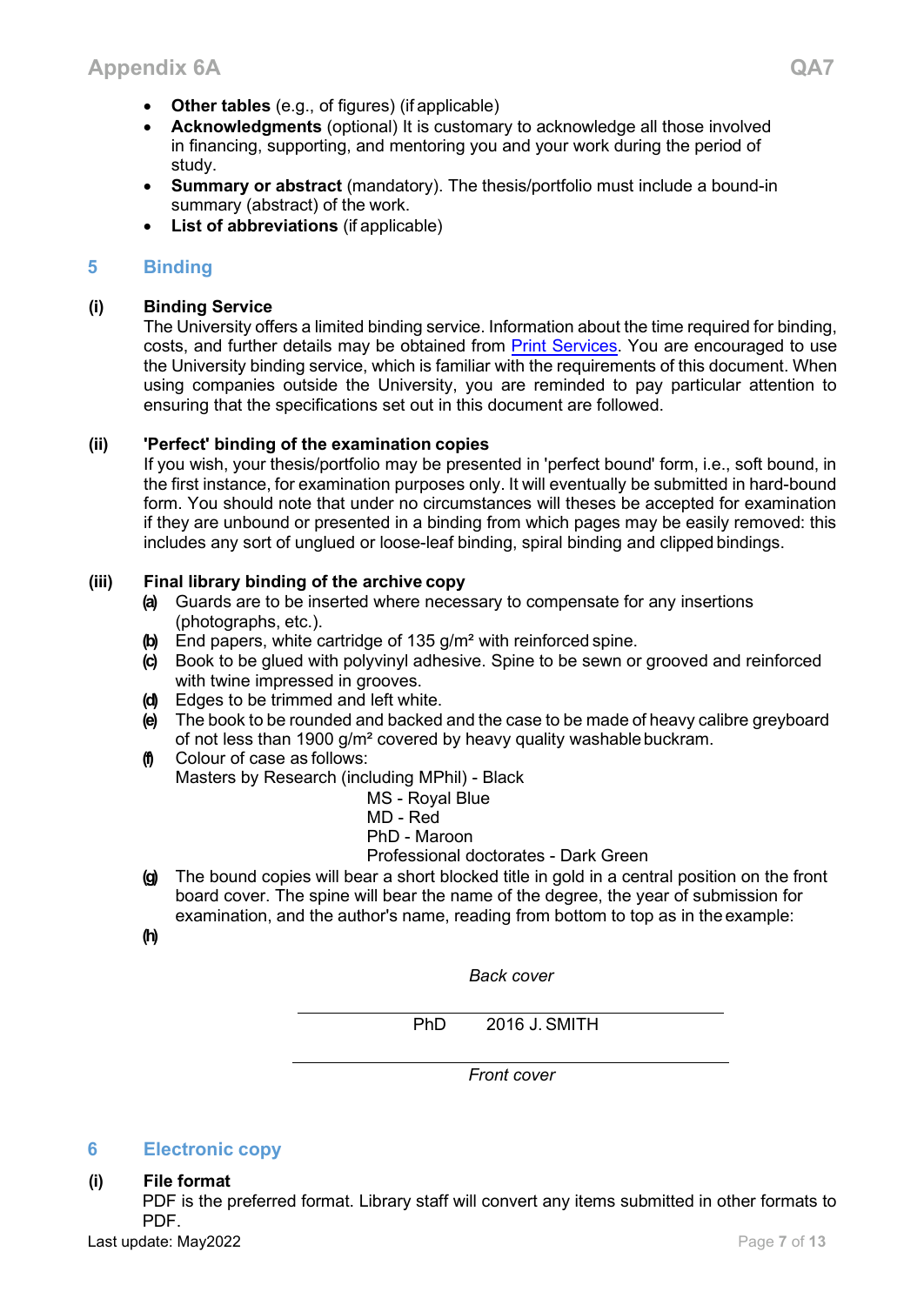- **Other tables** (e.g., of figures) (if applicable)
- **Acknowledgments** (optional) It is customary to acknowledge all those involved in financing, supporting, and mentoring you and your work during the period of study.
- **Summary or abstract** (mandatory). The thesis/portfolio must include a bound-in summary (abstract) of the work.
- **List of abbreviations** (if applicable)

# <span id="page-6-0"></span>**5 Binding**

# **(i) Binding Service**

The University offers a limited binding service. Information about the time required for binding, costs, and further details may be obtained from **Print Services**. You are encouraged to use the University binding service, which is familiar with the requirements of this document. When using companies outside the University, you are reminded to pay particular attention to ensuring that the specifications set out in this document are followed.

# **(ii) 'Perfect' binding of the examination copies**

If you wish, your thesis/portfolio may be presented in 'perfect bound' form, i.e., soft bound, in the first instance, for examination purposes only. It will eventually be submitted in hard-bound form. You should note that under no circumstances will theses be accepted for examination if they are unbound or presented in a binding from which pages may be easily removed: this includes any sort of unglued or loose-leaf binding, spiral binding and clipped bindings.

# **(iii) Final library binding of the archive copy**

- **(a)** Guards are to be inserted where necessary to compensate for any insertions (photographs, etc.).
- **(b)** End papers, white cartridge of 135 g/m² with reinforced spine.
- **(c)** Book to be glued with polyvinyl adhesive. Spine to be sewn or grooved and reinforced with twine impressed in grooves.
- **(d)** Edges to be trimmed and left white.
- **(e)** The book to be rounded and backed and the case to be made of heavy calibre greyboard of not less than 1900 g/m<sup>2</sup> covered by heavy quality washable buckram.
- **(f)** Colour of case as follows: Masters by Research (including MPhil) - Black
	- MS Royal Blue
	- MD Red

PhD - Maroon

Professional doctorates - Dark Green

**(g)** The bound copies will bear a short blocked title in gold in a central position on the front board cover. The spine will bear the name of the degree, the year of submission for examination, and the author's name, reading from bottom to top as in the example:

**(h)**

*Back cover*

PhD 2016 J. SMITH

*Front cover*

# <span id="page-6-1"></span>**6 Electronic copy**

**(i) File format**

PDF is the preferred format. Library staff will convert any items submitted in other formats to PDF.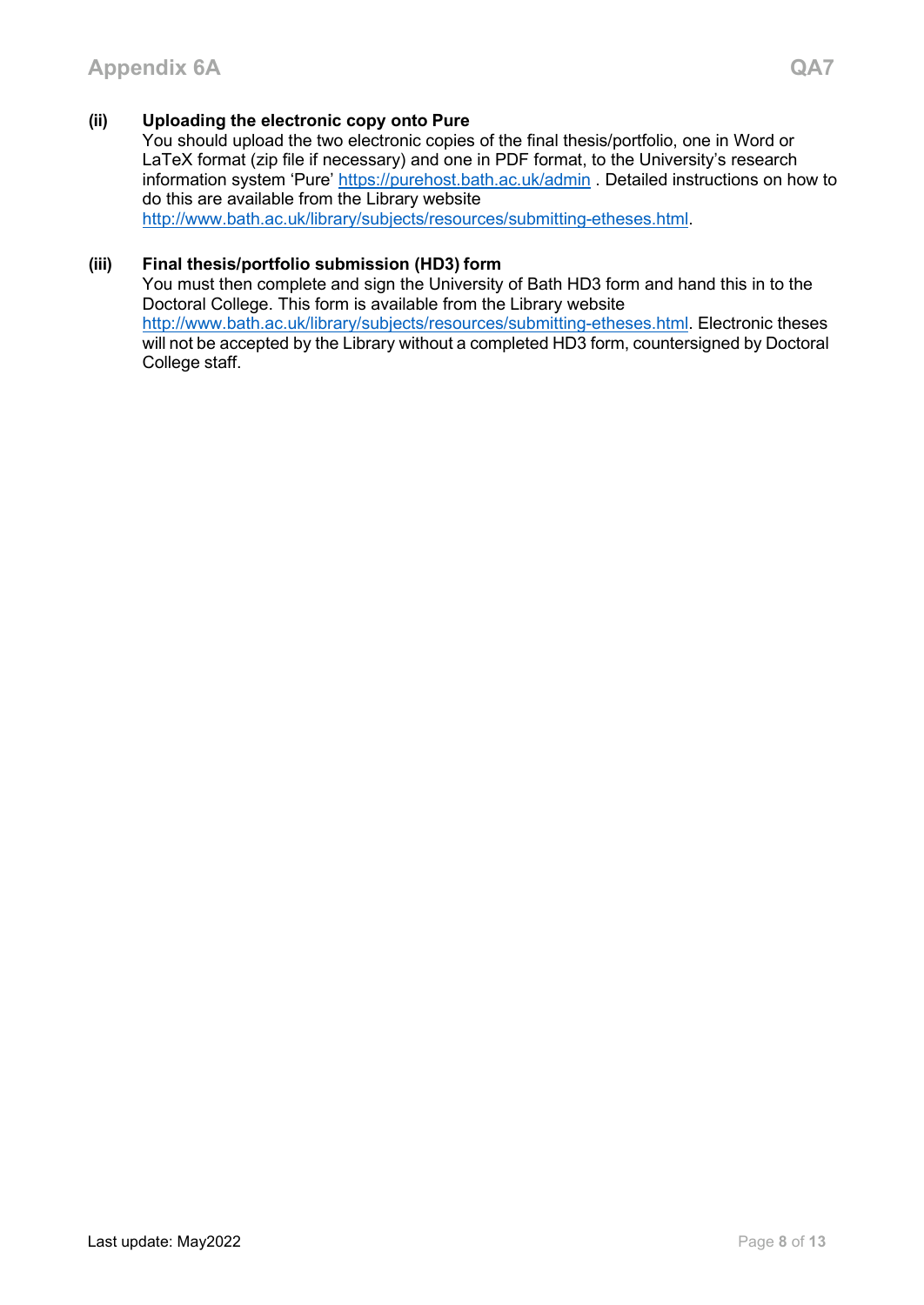# **(ii) Uploading the electronic copy onto Pure**

You should upload the two electronic copies of the final thesis/portfolio, one in Word or LaTeX format (zip file if necessary) and one in PDF format, to the University's research information system 'Pure'<https://purehost.bath.ac.uk/admin> . Detailed instructions on how to do this are available from the Library website [http://www.bath.ac.uk/library/subjects/resources/submitting-etheses.html.](http://www.bath.ac.uk/library/subjects/resources/submitting-etheses.html)

#### **(iii) Final thesis/portfolio submission (HD3) form**

You must then complete and sign the University of Bath HD3 form and hand this in to the Doctoral College. This form is available from the Library website [http://www.bath.ac.uk/library/subjects/resources/submitting-etheses.html.](http://www.bath.ac.uk/library/subjects/resources/submitting-etheses.html) Electronic theses will not be accepted by the Library without a completed HD3 form, countersigned by Doctoral College staff.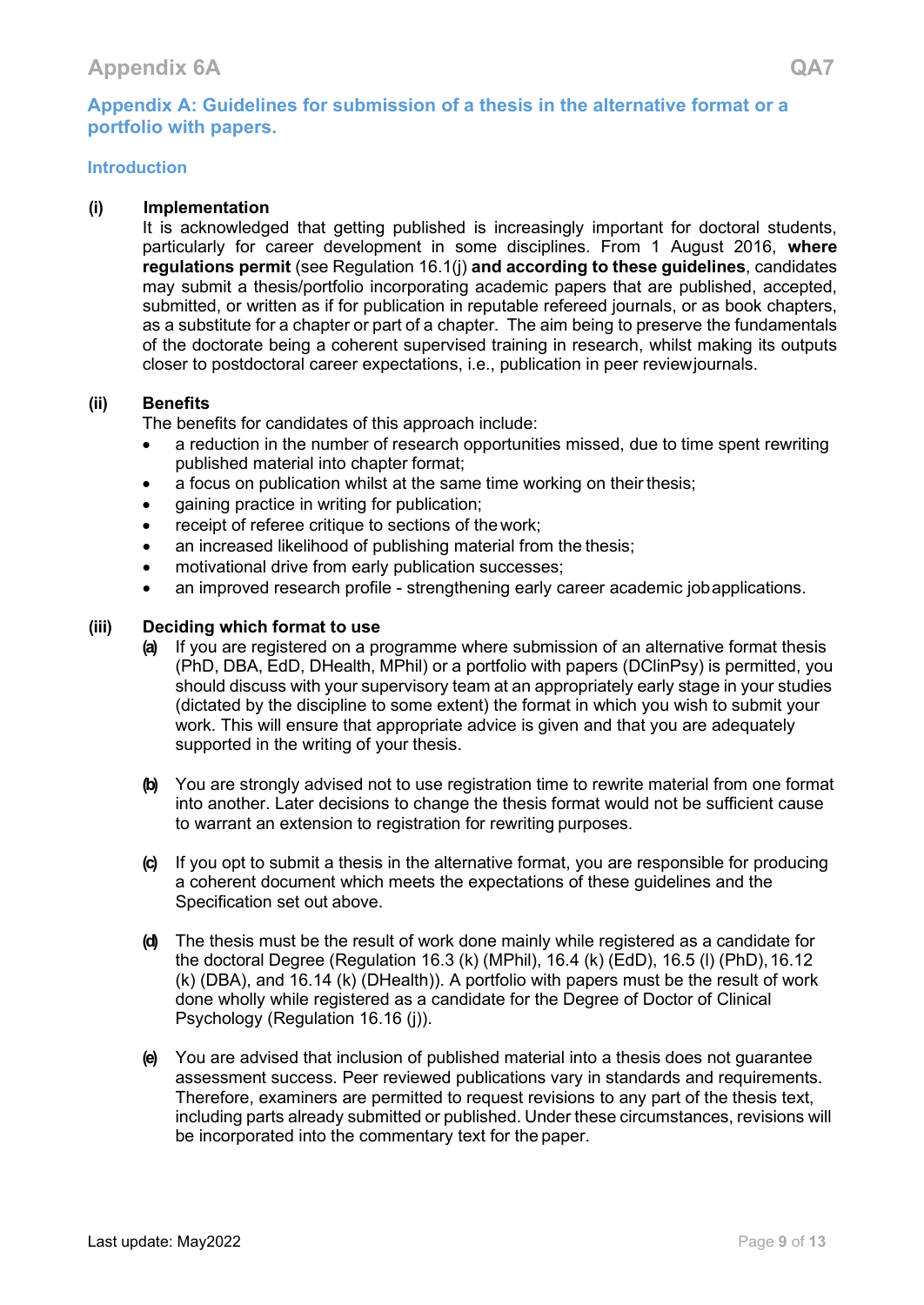# <span id="page-8-0"></span>**Appendix A: Guidelines for submission of a thesis in the alternative format or a portfolio with papers.**

# **Introduction**

#### **(i) Implementation**

It is acknowledged that getting published is increasingly important for doctoral students, particularly for career development in some disciplines. From 1 August 2016, **where regulations permit** (see Regulation 16.1(j) **and according to these guidelines**, candidates may submit a thesis/portfolio incorporating academic papers that are published, accepted, submitted, or written as if for publication in reputable refereed journals, or as book chapters, as a substitute for a chapter or part of a chapter. The aim being to preserve the fundamentals of the doctorate being a coherent supervised training in research, whilst making its outputs closer to postdoctoral career expectations, i.e., publication in peer reviewjournals.

#### **(ii) Benefits**

The benefits for candidates of this approach include:

- a reduction in the number of research opportunities missed, due to time spent rewriting published material into chapter format;
- a focus on publication whilst at the same time working on their thesis;
- gaining practice in writing for publication;
- receipt of referee critique to sections of the work;
- an increased likelihood of publishing material from the thesis;
- motivational drive from early publication successes;
- an improved research profile strengthening early career academic jobapplications.

#### **(iii) Deciding which format to use**

- **(a)** If you are registered on a programme where submission of an alternative format thesis (PhD, DBA, EdD, DHealth, MPhil) or a portfolio with papers (DClinPsy) is permitted, you should discuss with your supervisory team at an appropriately early stage in your studies (dictated by the discipline to some extent) the format in which you wish to submit your work. This will ensure that appropriate advice is given and that you are adequately supported in the writing of your thesis.
- **(b)** You are strongly advised not to use registration time to rewrite material from one format into another. Later decisions to change the thesis format would not be sufficient cause to warrant an extension to registration for rewriting purposes.
- **(c)** If you opt to submit a thesis in the alternative format, you are responsible for producing a coherent document which meets the expectations of these guidelines and the Specification set out above.
- **(d)** The thesis must be the result of work done mainly while registered as a candidate for the doctoral Degree (Regulation 16.3 (k) (MPhil), 16.4 (k) (EdD), 16.5 (l) (PhD), 16.12 (k) (DBA), and 16.14 (k) (DHealth)). A portfolio with papers must be the result of work done wholly while registered as a candidate for the Degree of Doctor of Clinical Psychology (Regulation 16.16 (j)).
- **(e)** You are advised that inclusion of published material into a thesis does not guarantee assessment success. Peer reviewed publications vary in standards and requirements. Therefore, examiners are permitted to request revisions to any part of the thesis text, including parts already submitted or published. Under these circumstances, revisions will be incorporated into the commentary text for the paper.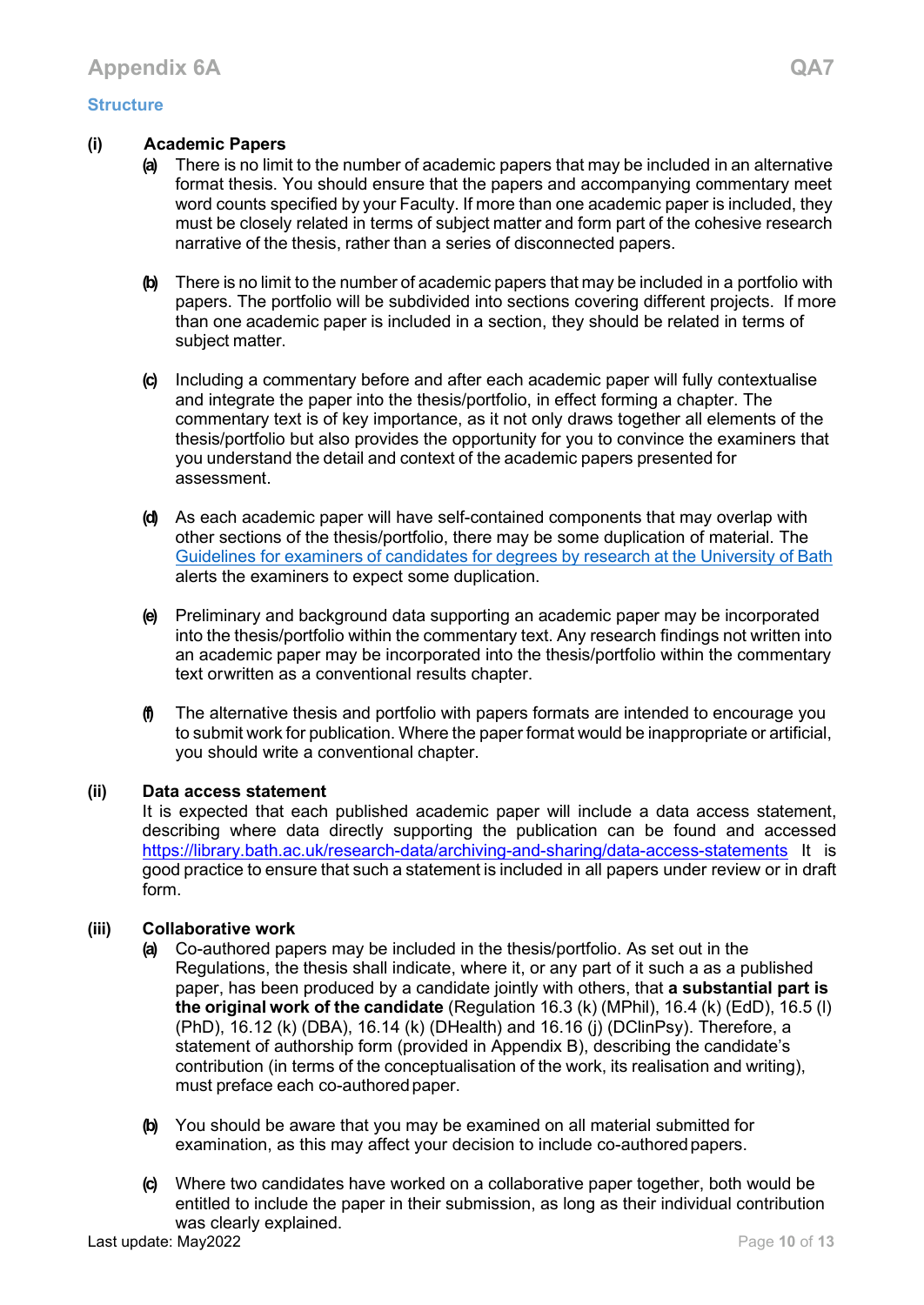# **Structure**

#### **(i) Academic Papers**

- **(a)** There is no limit to the number of academic papers that may be included in an alternative format thesis. You should ensure that the papers and accompanying commentary meet word counts specified by your Faculty. If more than one academic paper is included, they must be closely related in terms of subject matter and form part of the cohesive research narrative of the thesis, rather than a series of disconnected papers.
- **(b)** There is no limit to the number of academic papers that may be included in a portfolio with papers. The portfolio will be subdivided into sections covering different projects. If more than one academic paper is included in a section, they should be related in terms of subject matter.
- **(c)** Including a commentary before and after each academic paper will fully contextualise and integrate the paper into the thesis/portfolio, in effect forming a chapter. The commentary text is of key importance, as it not only draws together all elements of the thesis/portfolio but also provides the opportunity for you to convince the examiners that you understand the detail and context of the academic papers presented for assessment.
- **(d)** As each academic paper will have self-contained components that may overlap with other sections of the thesis/portfolio, there may be some duplication of material. Th[e](http://www.bath.ac.uk/student-records/pgresources/docs/GUIDELINES2013.pdf) [Guidelines](http://www.bath.ac.uk/student-records/pgresources/docs/GUIDELINES2013.pdf) for examiners of [candidates](http://www.bath.ac.uk/student-records/pgresources/docs/GUIDELINES2013.pdf) for degrees by research at the University of Bath alerts the examiners to expect some duplication.
- **(e)** Preliminary and background data supporting an academic paper may be incorporated into the thesis/portfolio within the commentary text. Any research findings not written into an academic paper may be incorporated into the thesis/portfolio within the commentary text orwritten as a conventional results chapter.
- **(f)** The alternative thesis and portfolio with papers formats are intended to encourage you to submit work for publication. Where the paper format would be inappropriate or artificial, you should write a conventional chapter.

#### **(ii) Data access statement**

It is expected that each published academic paper will include a data access statement, describing where data directly supporting the publication can be found and accessed <https://library.bath.ac.uk/research-data/archiving-and-sharing/data-access-statements> It is good practice to ensure that such a statement is included in all papers under review or in draft form.

# **(iii) Collaborative work**

- **(a)** Co-authored papers may be included in the thesis/portfolio. As set out in the Regulations, the thesis shall indicate, where it, or any part of it such a as a published paper, has been produced by a candidate jointly with others, that **a substantial part is the original work of the candidate** (Regulation 16.3 (k) (MPhil), 16.4 (k) (EdD), 16.5 (l) (PhD), 16.12 (k) (DBA), 16.14 (k) (DHealth) and 16.16 (j) (DClinPsy). Therefore, a statement of authorship form (provided in Appendix B), describing the candidate's contribution (in terms of the conceptualisation of the work, its realisation and writing), must preface each co-authored paper.
- **(b)** You should be aware that you may be examined on all material submitted for examination, as this may affect your decision to include co-authoredpapers.
- **(c)** Where two candidates have worked on a collaborative paper together, both would be entitled to include the paper in their submission, as long as their individual contribution was clearly explained.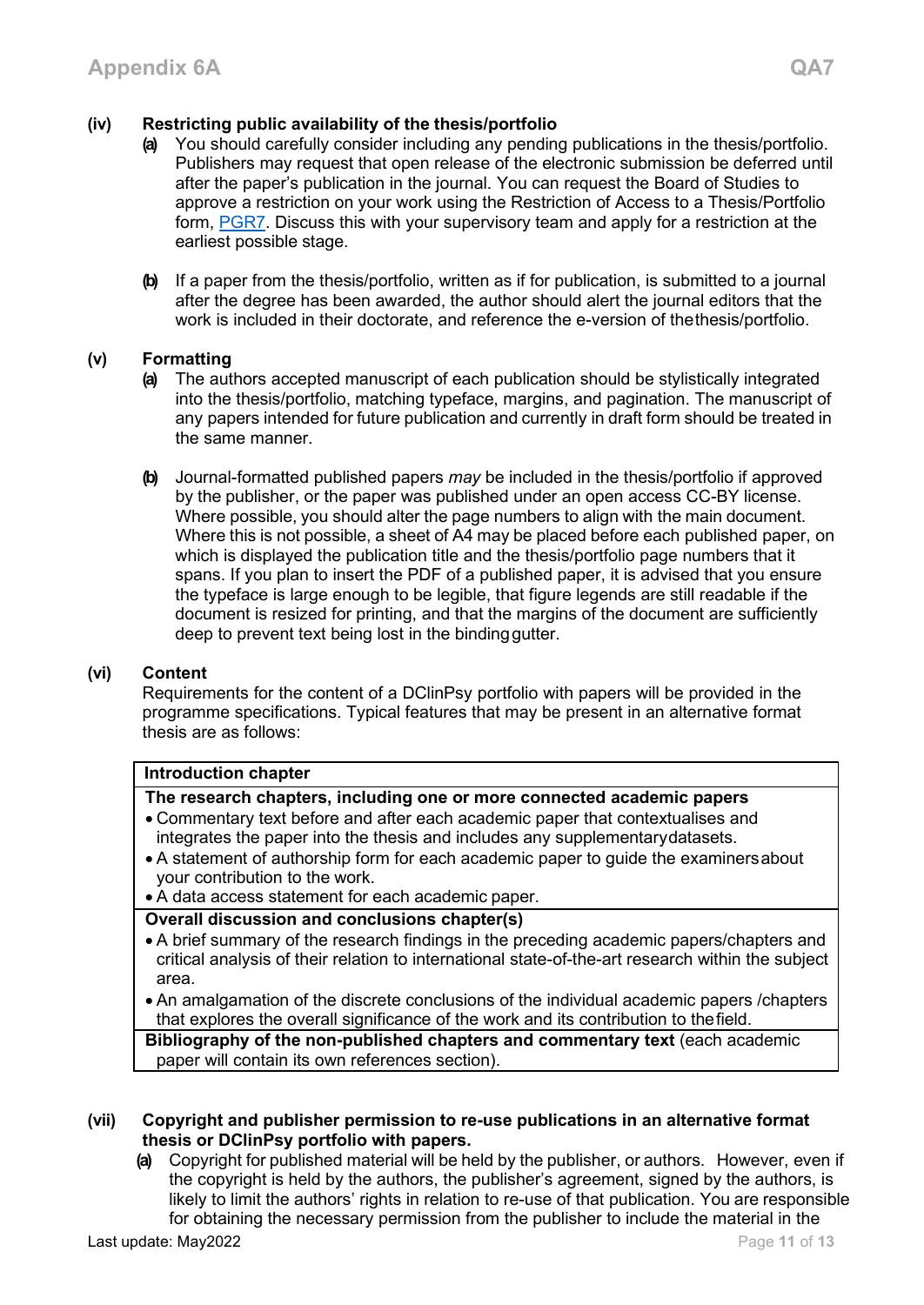# **(iv) Restricting public availability of the thesis/portfolio**

- You should carefully consider including any pending publications in the thesis/portfolio. Publishers may request that open release of the electronic submission be deferred until after the paper's publication in the journal. You can request the Board of Studies to approve a restriction on your work using the Restriction of Access to a Thesis/Portfolio form, [PGR7.](http://www.bath.ac.uk/student-records/pgresources/docs/PGR7_Restricted_Access_To_Thesis.doc) Discuss this with your supervisory team and apply for a restriction at the earliest possible stage.
- **(b)** If a paper from the thesis/portfolio, written as if for publication, is submitted to a journal after the degree has been awarded, the author should alert the journal editors that the work is included in their doctorate, and reference the e-version of thethesis/portfolio.

# **(v) Formatting**

- **(a)** The authors accepted manuscript of each publication should be stylistically integrated into the thesis/portfolio, matching typeface, margins, and pagination. The manuscript of any papers intended for future publication and currently in draft form should be treated in the same manner.
- **(b)** Journal-formatted published papers *may* be included in the thesis/portfolio if approved by the publisher, or the paper was published under an open access CC-BY license. Where possible, you should alter the page numbers to align with the main document. Where this is not possible, a sheet of A4 may be placed before each published paper, on which is displayed the publication title and the thesis/portfolio page numbers that it spans. If you plan to insert the PDF of a published paper, it is advised that you ensure the typeface is large enough to be legible, that figure legends are still readable if the document is resized for printing, and that the margins of the document are sufficiently deep to prevent text being lost in the bindinggutter.

# **(vi) Content**

Requirements for the content of a DClinPsy portfolio with papers will be provided in the programme specifications. Typical features that may be present in an alternative format thesis are as follows:

# **Introduction chapter**

# **The research chapters, including one or more connected academic papers**

- Commentary text before and after each academic paper that contextualises and integrates the paper into the thesis and includes any supplementarydatasets.
- A statement of authorship form for each academic paper to guide the examinersabout your contribution to the work.
- A data access statement for each academic paper.
- **Overall discussion and conclusions chapter(s)**
- A brief summary of the research findings in the preceding academic papers/chapters and critical analysis of their relation to international state-of-the-art research within the subject area.
- An amalgamation of the discrete conclusions of the individual academic papers /chapters that explores the overall significance of the work and its contribution to thefield.

**Bibliography of the non-published chapters and commentary text** (each academic paper will contain its own references section).

#### **(vii) Copyright and publisher permission to re-use publications in an alternative format thesis or DClinPsy portfolio with papers.**

**(a)** Copyright for published material will be held by the publisher, or authors. However, even if the copyright is held by the authors, the publisher's agreement, signed by the authors, is likely to limit the authors' rights in relation to re-use of that publication. You are responsible for obtaining the necessary permission from the publisher to include the material in the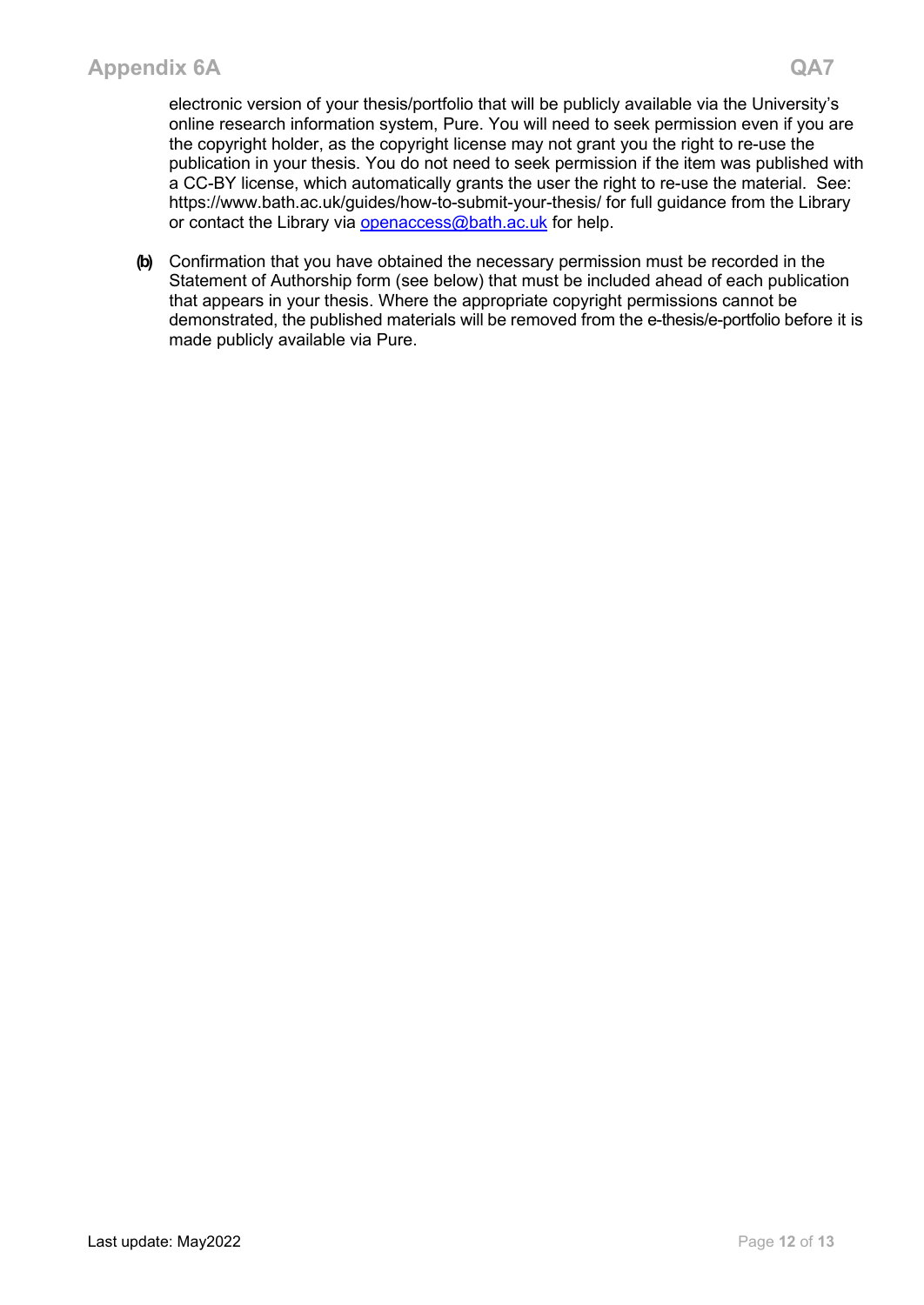electronic version of your thesis/portfolio that will be publicly available via the University's online research information system, Pure. You will need to seek permission even if you are the copyright holder, as the copyright license may not grant you the right to re-use the publication in your thesis. You do not need to seek permission if the item was published with a CC-BY license, which automatically grants the user the right to re-use the material. See: https://www.bath.ac.uk/guides/how-to-submit-your-thesis/ for full guidance from the Library or contact the Library via [openaccess@bath.ac.uk](mailto:openaccess@bath.ac.uk) for help.

**(b)** Confirmation that you have obtained the necessary permission must be recorded in the Statement of Authorship form (see below) that must be included ahead of each publication that appears in your thesis. Where the appropriate copyright permissions cannot be demonstrated, the published materials will be removed from the e-thesis/e-portfolio before it is made publicly available via Pure.